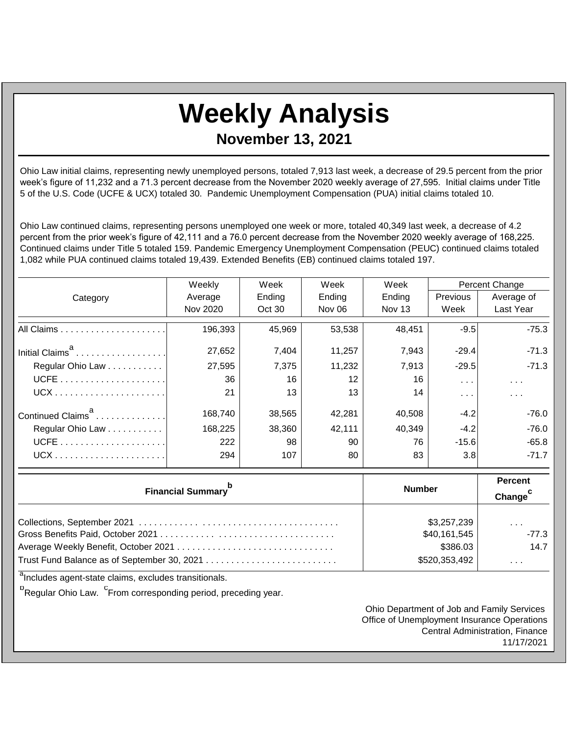## **Weekly Analysis November 13, 2021**

Ohio Law initial claims, representing newly unemployed persons, totaled 7,913 last week, a decrease of 29.5 percent from the prior week's figure of 11,232 and a 71.3 percent decrease from the November 2020 weekly average of 27,595. Initial claims under Title 5 of the U.S. Code (UCFE & UCX) totaled 30. Pandemic Unemployment Compensation (PUA) initial claims totaled 10.

Ohio Law continued claims, representing persons unemployed one week or more, totaled 40,349 last week, a decrease of 4.2 percent from the prior week's figure of 42,111 and a 76.0 percent decrease from the November 2020 weekly average of 168,225. Continued claims under Title 5 totaled 159. Pandemic Emergency Unemployment Compensation (PEUC) continued claims totaled 1,082 while PUA continued claims totaled 19,439. Extended Benefits (EB) continued claims totaled 197.

|                               | Weekly   | Week   | Week              | Week   | Percent Change       |                         |
|-------------------------------|----------|--------|-------------------|--------|----------------------|-------------------------|
| Category                      | Average  | Ending | Ending            | Ending | <b>Previous</b>      | Average of              |
|                               | Nov 2020 | Oct 30 | <b>Nov 06</b>     | Nov 13 | Week                 | Last Year               |
|                               | 196,393  | 45,969 | 53,538            | 48,451 | $-9.5$               | $-75.3$                 |
| Initial Claims <sup>a</sup>   | 27,652   | 7,404  | 11,257            | 7,943  | $-29.4$              | $-71.3$                 |
| Regular Ohio Law              | 27,595   | 7,375  | 11,232            | 7,913  | $-29.5$              | $-71.3$                 |
|                               | 36       | 16     | $12 \overline{ }$ | 16     | $\sim$ $\sim$ $\sim$ | $\sim$ $\sim$ $\sim$    |
|                               | 21       | 13     | 13                | 14     | $\cdots$             | $\sim 100$ km s $^{-1}$ |
| Continued Claims <sup>a</sup> | 168,740  | 38,565 | 42,281            | 40,508 | $-4.2$               | $-76.0$                 |
| Regular Ohio Law              | 168,225  | 38,360 | 42.111            | 40.349 | $-4.2$               | $-76.0$                 |
|                               | 222      | 98     | 90                | 76     | $-15.6$              | $-65.8$                 |
|                               | 294      | 107    | 80                | 83     | 3.8                  | $-71.7$                 |

| <b>Financial Summary</b> <sup>b</sup> | <b>Number</b> | <b>Percent</b><br>Change <sup>c</sup> |
|---------------------------------------|---------------|---------------------------------------|
|                                       | \$3,257,239   | $\sim$ $\sim$ $\sim$                  |
|                                       | \$40,161,545  | $-77.3$                               |
|                                       | \$386.03      | 14.7                                  |
|                                       | \$520,353,492 | $\sim$ 10 $\sim$ 10 $\sim$            |

<sup>a</sup>Includes agent-state claims, excludes transitionals.

<sup>b</sup>Regular Ohio Law. <sup>C</sup>From corresponding period, preceding year.

Ohio Department of Job and Family Services Office of Unemployment Insurance Operations Central Administration, Finance 11/17/2021